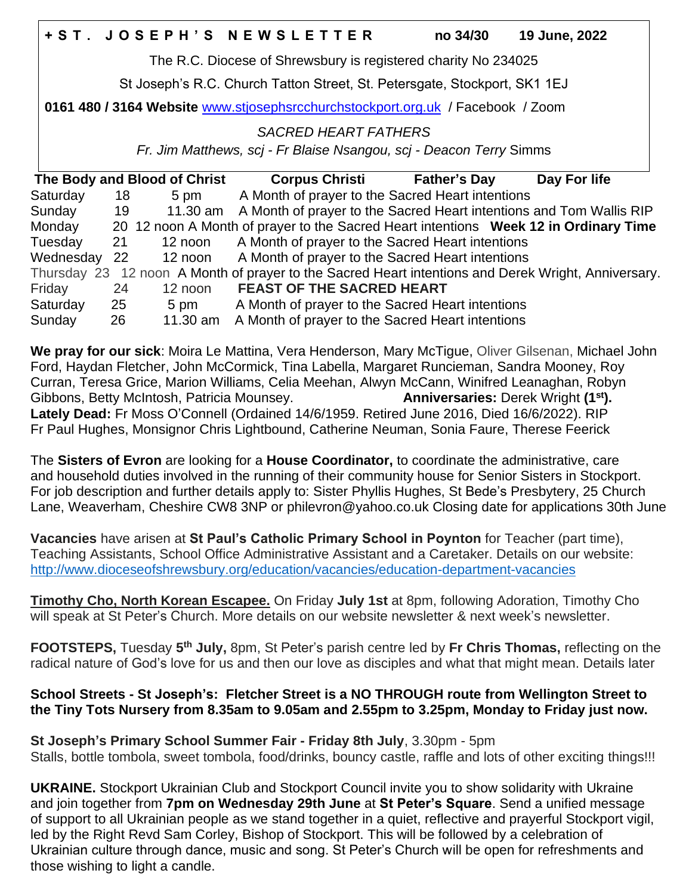|                                                                |  | <b>+ST. JOSEPH'S NEWSLETTER</b> | no 34/30 | <b>19 June, 2022</b> |  |  |
|----------------------------------------------------------------|--|---------------------------------|----------|----------------------|--|--|
| The R.C. Diocese of Shrewsbury is registered charity No 234025 |  |                                 |          |                      |  |  |

St Joseph's R.C. Church Tatton Street, St. Petersgate, Stockport, SK1 1EJ

**0161 480 / 3164 Website** [www.stjosephsrcchurchstockport.org.uk](http://www.stjosephsrcchurchstockport.org.uk/) / Facebook / Zoom

# *SACRED HEART FATHERS*

*Fr. Jim Matthews, scj - Fr Blaise Nsangou, scj - Deacon Terry* Simms

| The Body and Blood of Christ                                                                        |     |          | <b>Corpus Christi</b>                                                                | <b>Father's Day</b> | Day For life |  |  |  |
|-----------------------------------------------------------------------------------------------------|-----|----------|--------------------------------------------------------------------------------------|---------------------|--------------|--|--|--|
| Saturday                                                                                            | 18  | 5 pm     | A Month of prayer to the Sacred Heart intentions                                     |                     |              |  |  |  |
| Sunday                                                                                              | 19  |          | 11.30 am A Month of prayer to the Sacred Heart intentions and Tom Wallis RIP         |                     |              |  |  |  |
| Monday                                                                                              |     |          | 20 12 noon A Month of prayer to the Sacred Heart intentions Week 12 in Ordinary Time |                     |              |  |  |  |
| Tuesday                                                                                             | 21  |          | 12 noon A Month of prayer to the Sacred Heart intentions                             |                     |              |  |  |  |
| Wednesday                                                                                           | -22 | 12 noon  | A Month of prayer to the Sacred Heart intentions                                     |                     |              |  |  |  |
| Thursday 23 12 noon A Month of prayer to the Sacred Heart intentions and Derek Wright, Anniversary. |     |          |                                                                                      |                     |              |  |  |  |
| Friday                                                                                              | 24  | 12 noon  | <b>FEAST OF THE SACRED HEART</b>                                                     |                     |              |  |  |  |
| Saturday                                                                                            | 25  | 5 pm     | A Month of prayer to the Sacred Heart intentions                                     |                     |              |  |  |  |
| Sunday                                                                                              | 26  | 11.30 am | A Month of prayer to the Sacred Heart intentions                                     |                     |              |  |  |  |

**We pray for our sick**: Moira Le Mattina, Vera Henderson, Mary McTigue, Oliver Gilsenan, Michael John Ford, Haydan Fletcher, John McCormick, Tina Labella, Margaret Runcieman, Sandra Mooney, Roy Curran, Teresa Grice, Marion Williams, Celia Meehan, Alwyn McCann, Winifred Leanaghan, Robyn Gibbons, Betty McIntosh, Patricia Mounsey. **Anniversaries:** Derek Wright **(1st). Lately Dead:** Fr Moss O'Connell (Ordained 14/6/1959. Retired June 2016, Died 16/6/2022). RIP Fr Paul Hughes, Monsignor Chris Lightbound, Catherine Neuman, Sonia Faure, Therese Feerick

The **Sisters of Evron** are looking for a **House Coordinator,** to coordinate the administrative, care and household duties involved in the running of their community house for Senior Sisters in Stockport. For job description and further details apply to: Sister Phyllis Hughes, St Bede's Presbytery, 25 Church Lane, Weaverham, Cheshire CW8 3NP or philevron@yahoo.co.uk Closing date for applications 30th June

**Vacancies** have arisen at **St Paul's Catholic Primary School in Poynton** for Teacher (part time), Teaching Assistants, School Office Administrative Assistant and a Caretaker. Details on our website: <http://www.dioceseofshrewsbury.org/education/vacancies/education-department-vacancies>

**Timothy Cho, North Korean Escapee.** On Friday **July 1st** at 8pm, following Adoration, Timothy Cho will speak at St Peter's Church. More details on our website newsletter & next week's newsletter.

**FOOTSTEPS,** Tuesday **5 th July,** 8pm, St Peter's parish centre led by **Fr Chris Thomas,** reflecting on the radical nature of God's love for us and then our love as disciples and what that might mean. Details later

### **School Streets - St Joseph's: Fletcher Street is a NO THROUGH route from Wellington Street to the Tiny Tots Nursery from 8.35am to 9.05am and 2.55pm to 3.25pm, Monday to Friday just now.**

**St Joseph's Primary School Summer Fair - Friday 8th July**, 3.30pm - 5pm Stalls, bottle tombola, sweet tombola, food/drinks, bouncy castle, raffle and lots of other exciting things!!!

**UKRAINE.** Stockport Ukrainian Club and Stockport Council invite you to show solidarity with Ukraine and join together from **7pm on Wednesday 29th June** at **St Peter's Square**. Send a unified message of support to all Ukrainian people as we stand together in a quiet, reflective and prayerful Stockport vigil, led by the Right Revd Sam Corley, Bishop of Stockport. This will be followed by a celebration of Ukrainian culture through dance, music and song. St Peter's Church will be open for refreshments and those wishing to light a candle.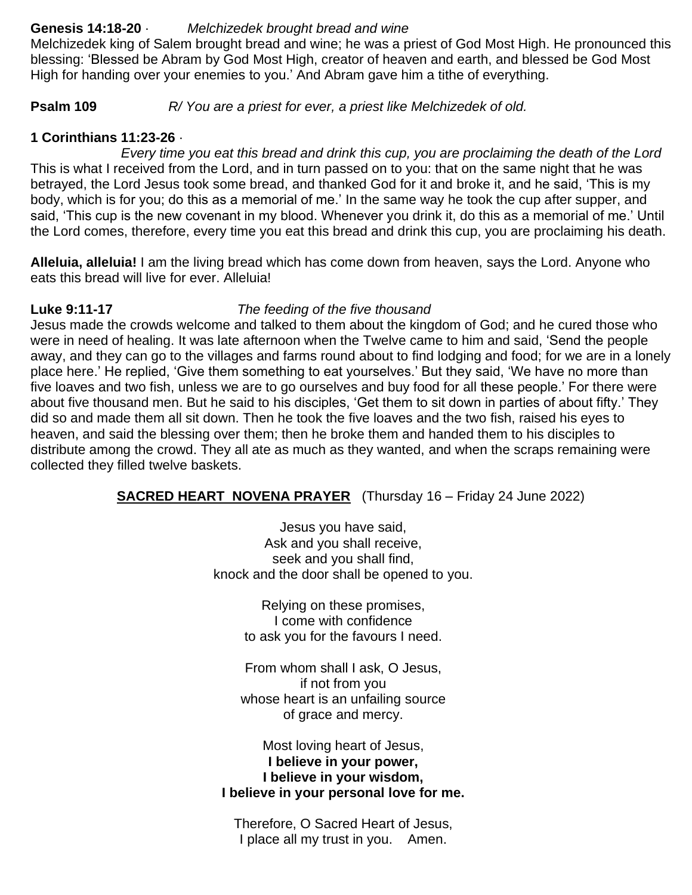### **Genesis 14:18-20** · *Melchizedek brought bread and wine*

Melchizedek king of Salem brought bread and wine; he was a priest of God Most High. He pronounced this blessing: 'Blessed be Abram by God Most High, creator of heaven and earth, and blessed be God Most High for handing over your enemies to you.' And Abram gave him a tithe of everything.

**Psalm 109** *R/ You are a priest for ever, a priest like Melchizedek of old.*

## **1 Corinthians 11:23-26** ·

 *Every time you eat this bread and drink this cup, you are proclaiming the death of the Lord* This is what I received from the Lord, and in turn passed on to you: that on the same night that he was betrayed, the Lord Jesus took some bread, and thanked God for it and broke it, and he said, 'This is my body, which is for you; do this as a memorial of me.' In the same way he took the cup after supper, and said, 'This cup is the new covenant in my blood. Whenever you drink it, do this as a memorial of me.' Until the Lord comes, therefore, every time you eat this bread and drink this cup, you are proclaiming his death.

**Alleluia, alleluia!** I am the living bread which has come down from heaven, says the Lord. Anyone who eats this bread will live for ever. Alleluia!

#### **Luke 9:11-17** *The feeding of the five thousand*

Jesus made the crowds welcome and talked to them about the kingdom of God; and he cured those who were in need of healing. It was late afternoon when the Twelve came to him and said, 'Send the people away, and they can go to the villages and farms round about to find lodging and food; for we are in a lonely place here.' He replied, 'Give them something to eat yourselves.' But they said, 'We have no more than five loaves and two fish, unless we are to go ourselves and buy food for all these people.' For there were about five thousand men. But he said to his disciples, 'Get them to sit down in parties of about fifty.' They did so and made them all sit down. Then he took the five loaves and the two fish, raised his eyes to heaven, and said the blessing over them; then he broke them and handed them to his disciples to distribute among the crowd. They all ate as much as they wanted, and when the scraps remaining were collected they filled twelve baskets.

**SACRED HEART NOVENA PRAYER** (Thursday 16 – Friday 24 June 2022)

Jesus you have said, Ask and you shall receive, seek and you shall find, knock and the door shall be opened to you.

> Relying on these promises, I come with confidence to ask you for the favours I need.

From whom shall I ask, O Jesus, if not from you whose heart is an unfailing source of grace and mercy.

Most loving heart of Jesus, **I believe in your power, I believe in your wisdom, I believe in your personal love for me.**

Therefore, O Sacred Heart of Jesus, I place all my trust in you. Amen.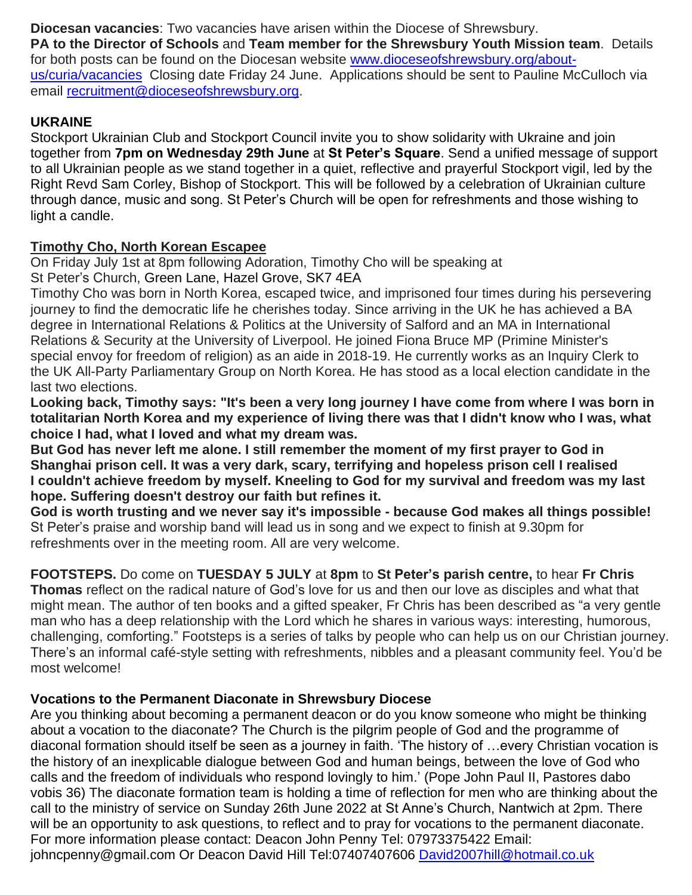**Diocesan vacancies**: Two vacancies have arisen within the Diocese of Shrewsbury.

**PA to the Director of Schools** and **Team member for the Shrewsbury Youth Mission team**. Details for both posts can be found on the Diocesan website [www.dioceseofshrewsbury.org/about](http://www.dioceseofshrewsbury.org/about-us/curia/vacancies)[us/curia/vacancies](http://www.dioceseofshrewsbury.org/about-us/curia/vacancies) Closing date Friday 24 June. Applications should be sent to Pauline McCulloch via email [recruitment@dioceseofshrewsbury.org.](mailto:recruitment@dioceseofshrewsbury.org)

# **UKRAINE**

Stockport Ukrainian Club and Stockport Council invite you to show solidarity with Ukraine and join together from **7pm on Wednesday 29th June** at **St Peter's Square**. Send a unified message of support to all Ukrainian people as we stand together in a quiet, reflective and prayerful Stockport vigil, led by the Right Revd Sam Corley, Bishop of Stockport. This will be followed by a celebration of Ukrainian culture through dance, music and song. St Peter's Church will be open for refreshments and those wishing to light a candle.

## **Timothy Cho, North Korean Escapee**

On Friday July 1st at 8pm following Adoration, Timothy Cho will be speaking at St Peter's Church, Green Lane, Hazel Grove, SK7 4EA

Timothy Cho was born in North Korea, escaped twice, and imprisoned four times during his persevering journey to find the democratic life he cherishes today. Since arriving in the UK he has achieved a BA degree in International Relations & Politics at the University of Salford and an MA in International Relations & Security at the University of Liverpool. He joined Fiona Bruce MP (Primine Minister's special envoy for freedom of religion) as an aide in 2018-19. He currently works as an Inquiry Clerk to the UK All-Party Parliamentary Group on North Korea. He has stood as a local election candidate in the last two elections.

Looking back, Timothy says: "It's been a very long journey I have come from where I was born in **totalitarian North Korea and my experience of living there was that I didn't know who I was, what choice I had, what I loved and what my dream was.**

**But God has never left me alone. I still remember the moment of my first prayer to God in Shanghai prison cell. It was a very dark, scary, terrifying and hopeless prison cell I realised I couldn't achieve freedom by myself. Kneeling to God for my survival and freedom was my last hope. Suffering doesn't destroy our faith but refines it.**

**God is worth trusting and we never say it's impossible - because God makes all things possible!** St Peter's praise and worship band will lead us in song and we expect to finish at 9.30pm for refreshments over in the meeting room. All are very welcome.

# **FOOTSTEPS.** Do come on **TUESDAY 5 JULY** at **8pm** to **St Peter's parish centre,** to hear **Fr Chris**

**Thomas** reflect on the radical nature of God's love for us and then our love as disciples and what that might mean. The author of ten books and a gifted speaker, Fr Chris has been described as "a very gentle man who has a deep relationship with the Lord which he shares in various ways: interesting, humorous, challenging, comforting." Footsteps is a series of talks by people who can help us on our Christian journey. There's an informal café-style setting with refreshments, nibbles and a pleasant community feel. You'd be most welcome!

## **Vocations to the Permanent Diaconate in Shrewsbury Diocese**

Are you thinking about becoming a permanent deacon or do you know someone who might be thinking about a vocation to the diaconate? The Church is the pilgrim people of God and the programme of diaconal formation should itself be seen as a journey in faith. 'The history of …every Christian vocation is the history of an inexplicable dialogue between God and human beings, between the love of God who calls and the freedom of individuals who respond lovingly to him.' (Pope John Paul II, Pastores dabo vobis 36) The diaconate formation team is holding a time of reflection for men who are thinking about the call to the ministry of service on Sunday 26th June 2022 at St Anne's Church, Nantwich at 2pm. There will be an opportunity to ask questions, to reflect and to pray for vocations to the permanent diaconate. For more information please contact: Deacon John Penny Tel: 07973375422 Email: johncpenny@gmail.com Or Deacon David Hill Tel:07407407606 [David2007hill@hotmail.co.uk](mailto:David2007hill@hotmail.co.uk)